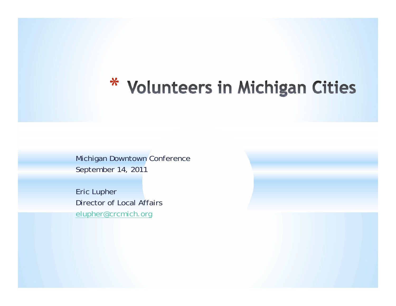### \* Volunteers in Michigan Cities

Michigan Downtown Conference September 14, 2011

Eric Lupher Director of Local Affairselupher@crcmich.org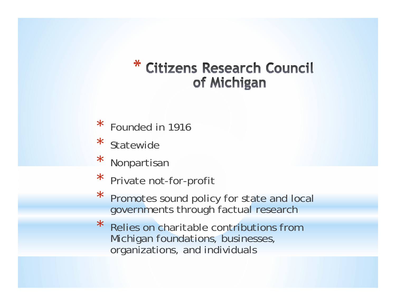### \* Citizens Research Council of Michigan

- \*Founded in 1916
- $\ast$ Statewide
- \*Nonpartisan
- \*Private not-for-profit
- \* Promotes sound policy for state and local governments through factual research
- \* Relies on charitable contributions from Michigan foundations, businesses, organizations, and individuals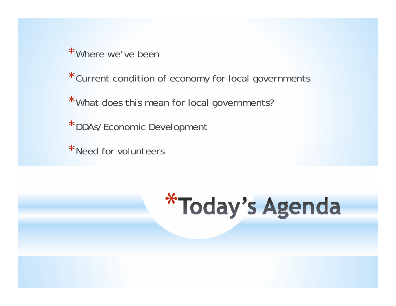\*Where we've been

\*Current condition of economy for local governments

\*What does this mean for local governments?

\*DDAs/Economic Development

\*Need for volunteers

## \*Today's Agenda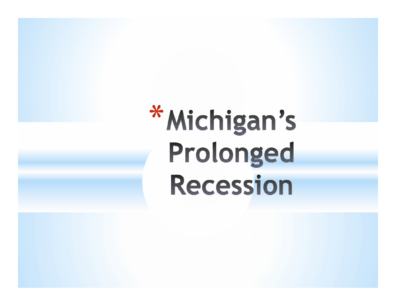# \*Michigan's Prolonged **Recession**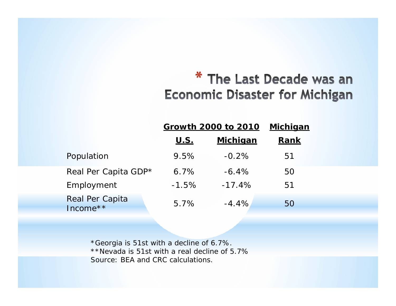### \* The Last Decade was an **Economic Disaster for Michigan**

|                             | <b>Growth 2000 to 2010</b> |                 | <b>Michigan</b> |
|-----------------------------|----------------------------|-----------------|-----------------|
|                             | <u>U.S.</u>                | <u>Michigan</u> | Rank            |
| Population                  | 9.5%                       | $-0.2%$         | 51              |
| Real Per Capita GDP*        | 6.7%                       | $-6.4%$         | 50              |
| Employment                  | $-1.5%$                    | $-17.4%$        | 51              |
| Real Per Capita<br>Income** | 5.7%                       | $-4.4\%$        | 50              |

\*Georgia is 51st with a decline of 6.7%. \*\*Nevada is 51st with a real decline of 5.7%Source: BEA and CRC calculations.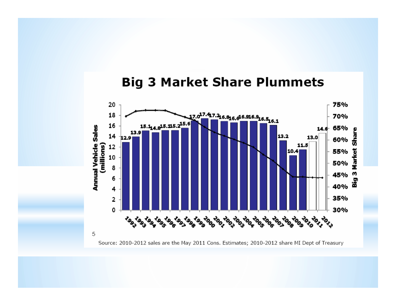#### **Big 3 Market Share Plummets**

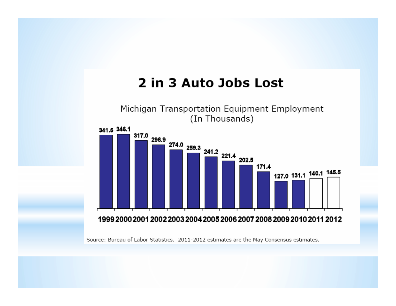#### 2 in 3 Auto Jobs Lost

Michigan Transportation Equipment Employment (In Thousands)



Source: Bureau of Labor Statistics. 2011-2012 estimates are the May Consensus estimates.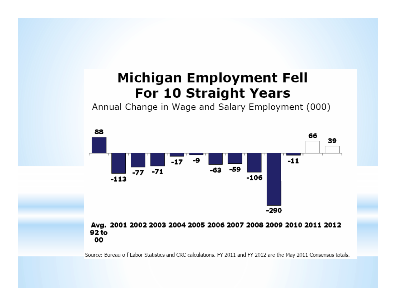### **Michigan Employment Fell** For 10 Straight Years

Annual Change in Wage and Salary Employment (000)



Source: Bureau of Labor Statistics and CRC calculations. FY 2011 and FY 2012 are the May 2011 Consensus totals.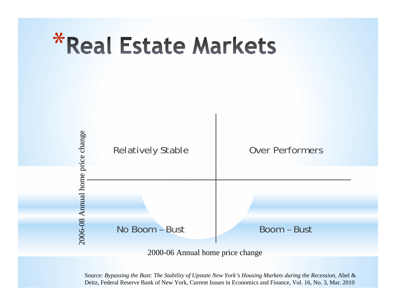## **\*Real Estate Markets**



Source: *Bypassing the Bust: The Stability of Upstate New York's Housing Markets during the Recession*, Abel & Deitz, Federal Reserve Bank of New York, Current Issues in Economics and Finance, Vol. 16, No. 3, Mar. 2010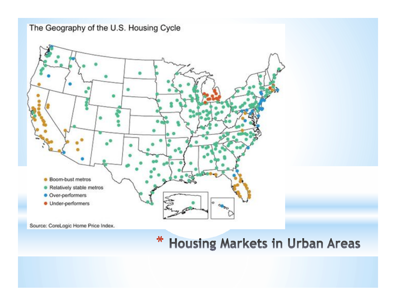

Source: CoreLogic Home Price Index.

\* Housing Markets in Urban Areas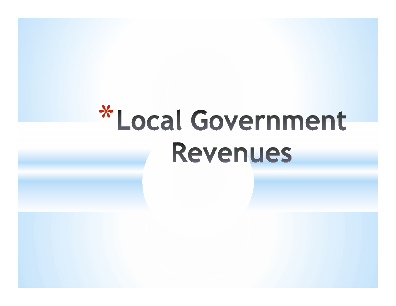# \*Local Government Revenues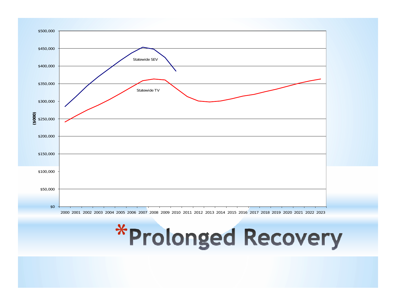# \*Prolonged Recovery

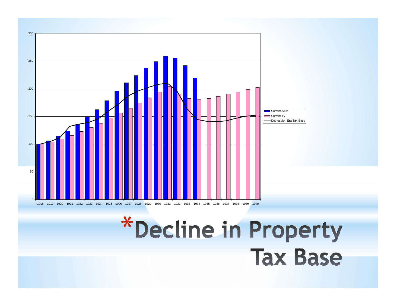

## \*Decline in Property Tax Base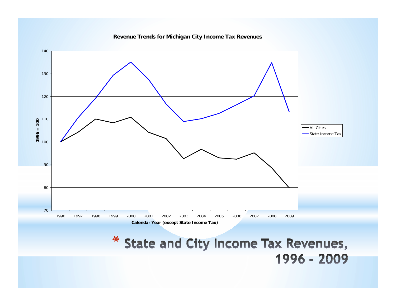



### \* State and City Income Tax Revenues, 1996 - 2009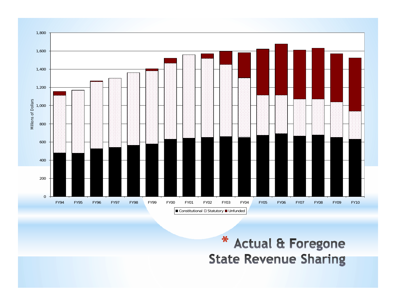

\* Actual & Foregone **State Revenue Sharing**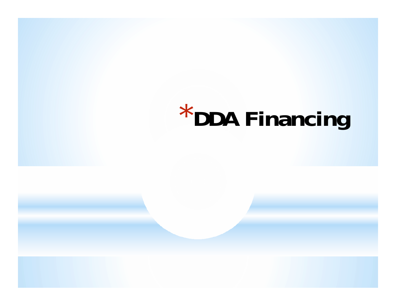## \*DDA Financing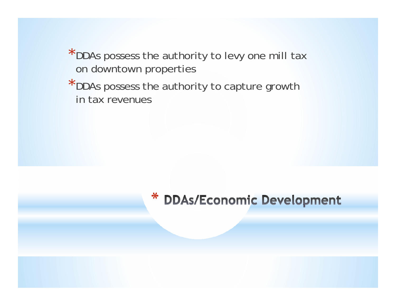- \*DDAs possess the authority to levy one mill tax on downtown properties
- \*DDAs possess the authority to capture growth in tax revenues

#### \* DDAs/Economic Development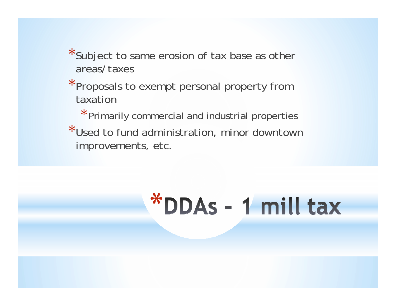- \*Subject to same erosion of tax base as other areas/taxes
- \*Proposals to exempt personal property from taxation

\*Primarily commercial and industrial properties

\*Used to fund administration, minor downtown improvements, etc.

# \*DDAs - 1 mill tax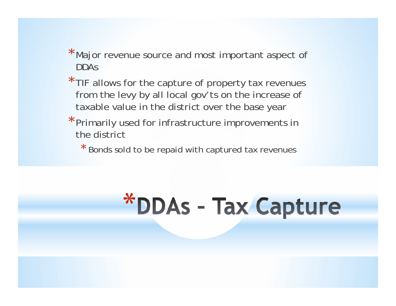- \*Major revenue source and most important aspect of DDAs
- \* TIF allows for the capture of property tax revenues from the levy by all local gov'ts on the increase of taxable value in the district over the base year
- \*Primarily used for infrastructure improvements in the district
	- \* Bonds sold to be repaid with captured tax revenues

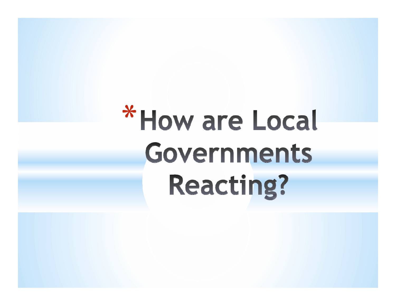# \* How are Local Governments **Reacting?**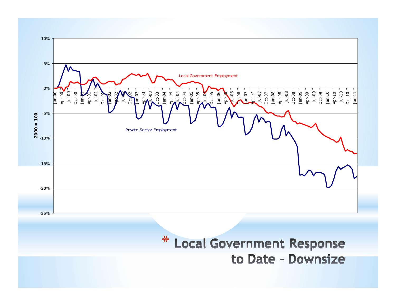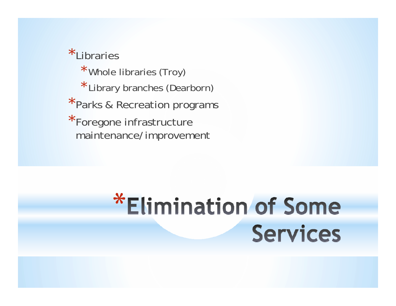\*Libraries \*Whole libraries (Troy) \*Library branches (Dearborn) \*Parks & Recreation programs \*Foregone infrastructure maintenance/improvement

### \*Elimination of Some **Services**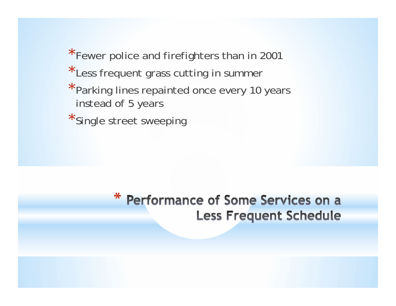\*Fewer police and firefighters than in 2001

- \*Less frequent grass cutting in summer
- \*Parking lines repainted once every 10 years instead of 5 years

\*Single street sweeping

### \* Performance of Some Services on a **Less Frequent Schedule**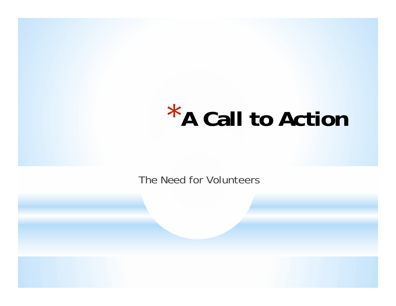### \***A Call to Action**

The Need for Volunteers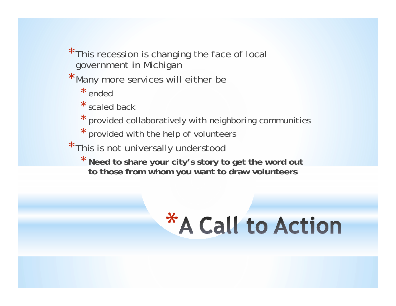\*This recession is changing the face of local government in Michigan

\*Many more services will either be

\* ended

\* scaled back

- \* provided collaboratively with neighboring communities
- \* provided with the help of volunteers
- \*This is not universally understood
	- \* **Need to share your city's story to get the word out to those from whom you want to draw volunteers**

## \*A Call to Action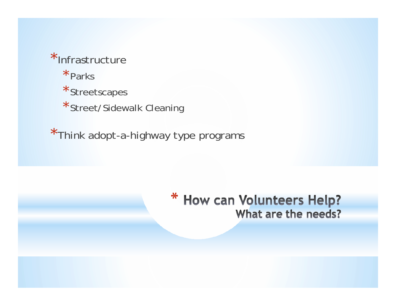\*Infrastructure\*Parks \*Streetscapes \*Street/Sidewalk Cleaning

\*Think adopt-a-highway type programs

#### \* How can Volunteers Help? What are the needs?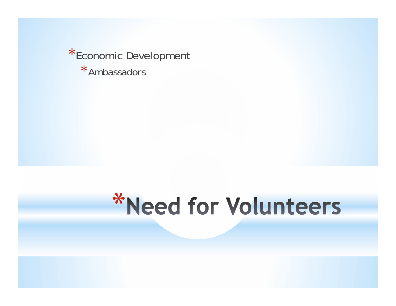\*Economic Development \*Ambassadors

### \*Need for Volunteers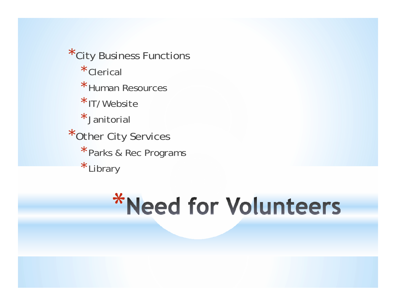\*City Business Functions \*Clerical \*Human Resources\*IT/Website\*Janitorial\*Other City Services \*Parks & Rec Programs \*Library

## \*Need for Volunteers